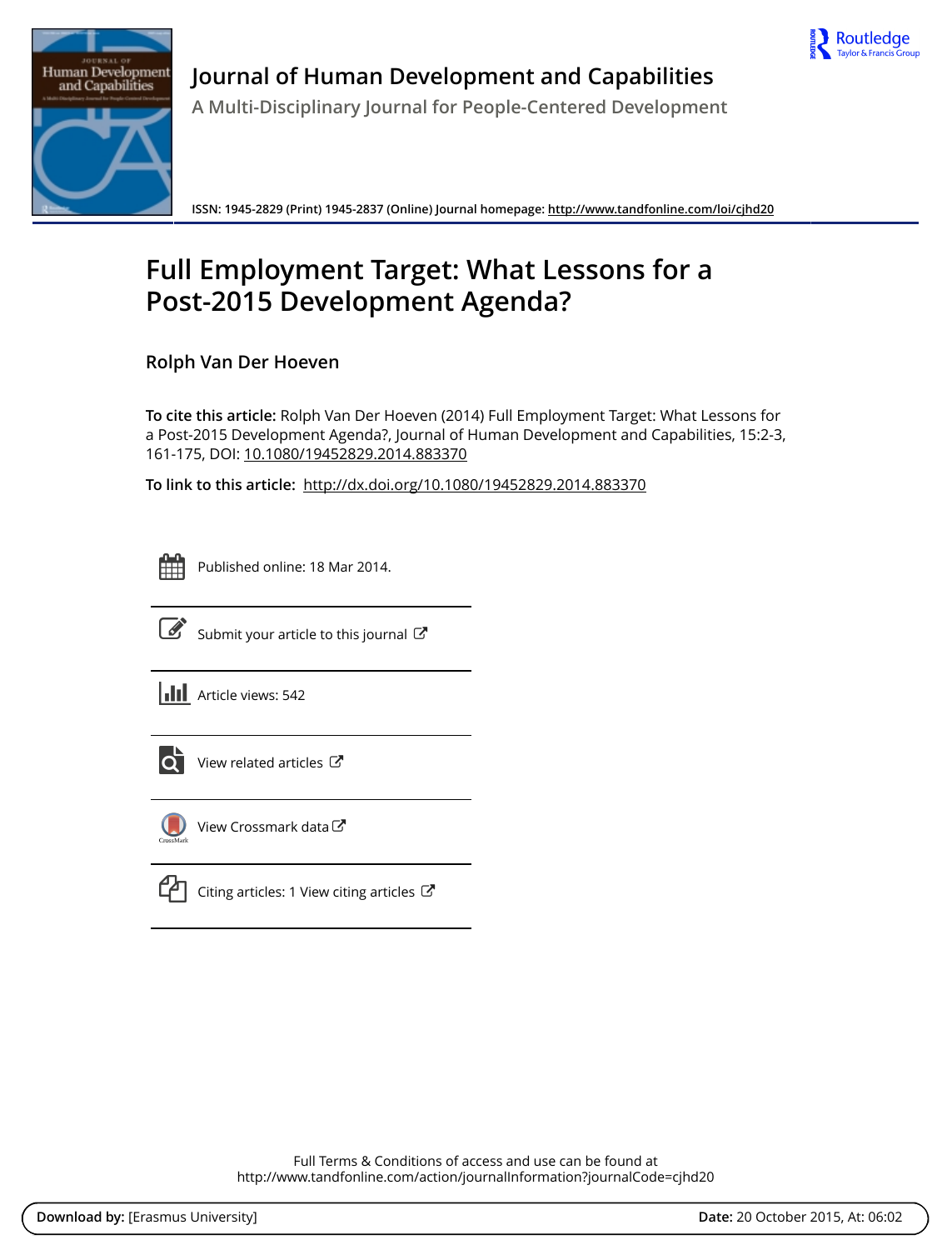



## **Journal of Human Development and Capabilities**

**A Multi-Disciplinary Journal for People-Centered Development**

**ISSN: 1945-2829 (Print) 1945-2837 (Online) Journal homepage:<http://www.tandfonline.com/loi/cjhd20>**

# **Full Employment Target: What Lessons for a Post-2015 Development Agenda?**

**Rolph Van Der Hoeven**

**To cite this article:** Rolph Van Der Hoeven (2014) Full Employment Target: What Lessons for a Post-2015 Development Agenda?, Journal of Human Development and Capabilities, 15:2-3, 161-175, DOI: [10.1080/19452829.2014.883370](http://www.tandfonline.com/action/showCitFormats?doi=10.1080/19452829.2014.883370)

**To link to this article:** <http://dx.doi.org/10.1080/19452829.2014.883370>

Published online: 18 Mar 2014.



 $\overline{\mathscr{L}}$  [Submit your article to this journal](http://www.tandfonline.com/action/authorSubmission?journalCode=cjhd20&page=instructions)  $\mathbb{F}$ 

**III** Article views: 542



 $\bullet$  [View related articles](http://www.tandfonline.com/doi/mlt/10.1080/19452829.2014.883370)  $\sigma$ 



[View Crossmark data](http://crossmark.crossref.org/dialog/?doi=10.1080/19452829.2014.883370&domain=pdf&date_stamp=2014-03-18)<sup>で</sup>



 $\mathbb{Z}$  [Citing articles: 1 View citing articles](http://www.tandfonline.com/doi/citedby/10.1080/19452829.2014.883370#tabModule)  $\mathbb{Z}$ 

Full Terms & Conditions of access and use can be found at <http://www.tandfonline.com/action/journalInformation?journalCode=cjhd20>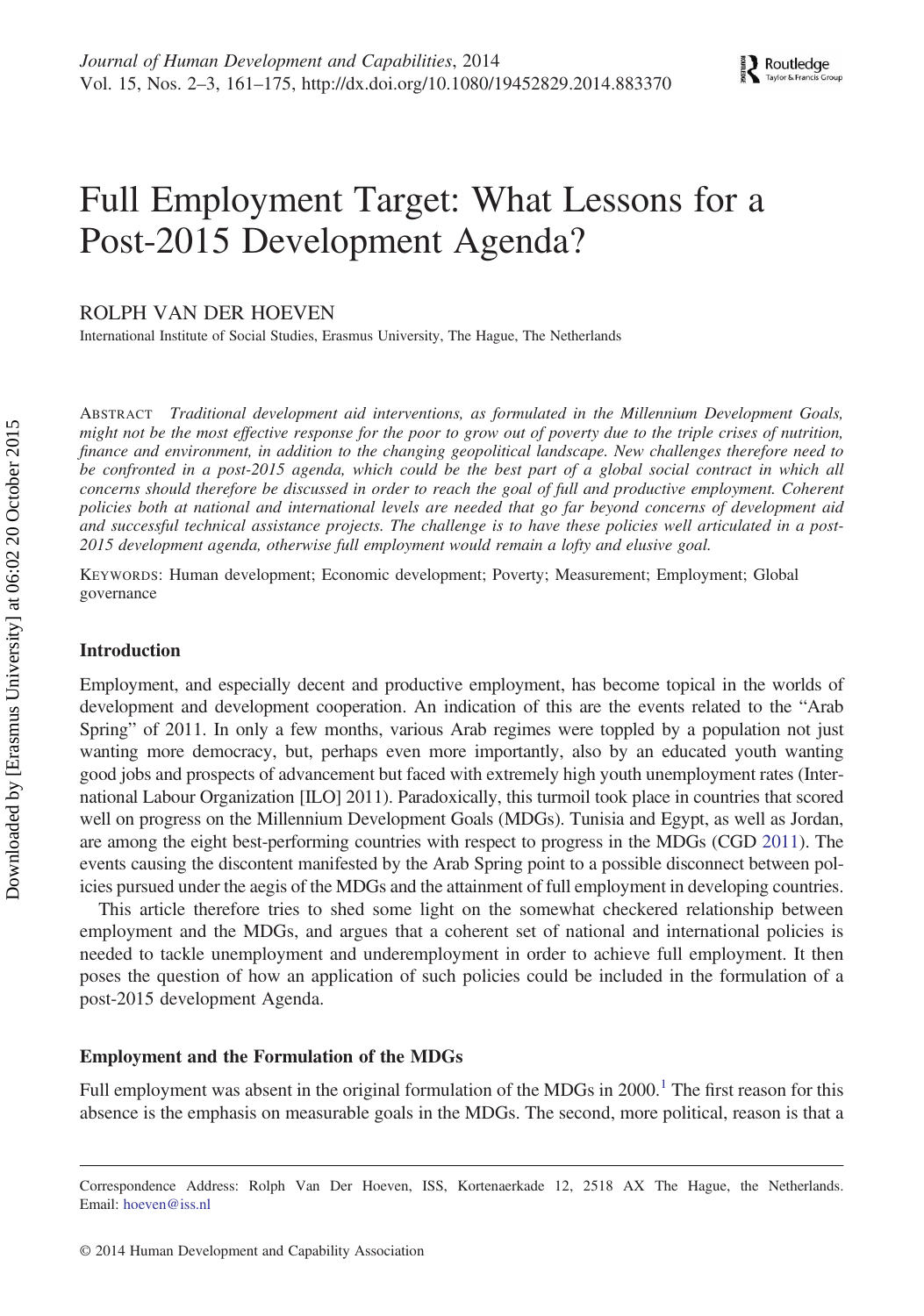## Full Employment Target: What Lessons for a Post-2015 Development Agenda?

ROLPH VAN DER HOEVEN

International Institute of Social Studies, Erasmus University, The Hague, The Netherlands

ABSTRACT Traditional development aid interventions, as formulated in the Millennium Development Goals, might not be the most effective response for the poor to grow out of poverty due to the triple crises of nutrition, finance and environment, in addition to the changing geopolitical landscape. New challenges therefore need to be confronted in a post-2015 agenda, which could be the best part of a global social contract in which all concerns should therefore be discussed in order to reach the goal of full and productive employment. Coherent policies both at national and international levels are needed that go far beyond concerns of development aid and successful technical assistance projects. The challenge is to have these policies well articulated in a post-2015 development agenda, otherwise full employment would remain a lofty and elusive goal.

KEYWORDS: Human development; Economic development; Poverty; Measurement; Employment; Global governance

## Introduction

Employment, and especially decent and productive employment, has become topical in the worlds of development and development cooperation. An indication of this are the events related to the "Arab Spring" of 2011. In only a few months, various Arab regimes were toppled by a population not just wanting more democracy, but, perhaps even more importantly, also by an educated youth wanting good jobs and prospects of advancement but faced with extremely high youth unemployment rates (International Labour Organization [ILO] 2011). Paradoxically, this turmoil took place in countries that scored well on progress on the Millennium Development Goals (MDGs). Tunisia and Egypt, as well as Jordan, are among the eight best-performing countries with respect to progress in the MDGs (CGD [2011\)](#page-14-0). The events causing the discontent manifested by the Arab Spring point to a possible disconnect between policies pursued under the aegis of the MDGs and the attainment of full employment in developing countries.

This article therefore tries to shed some light on the somewhat checkered relationship between employment and the MDGs, and argues that a coherent set of national and international policies is needed to tackle unemployment and underemployment in order to achieve full employment. It then poses the question of how an application of such policies could be included in the formulation of a post-2015 development Agenda.

## Employment and the Formulation of the MDGs

Full employment was absent in the original formulation of the MDGs in  $2000$ .<sup>[1](#page-13-0)</sup> The first reason for this absence is the emphasis on measurable goals in the MDGs. The second, more political, reason is that a

Correspondence Address: Rolph Van Der Hoeven, ISS, Kortenaerkade 12, 2518 AX The Hague, the Netherlands. Email: [hoeven@iss.nl](mailto:hoeven@iss.nl)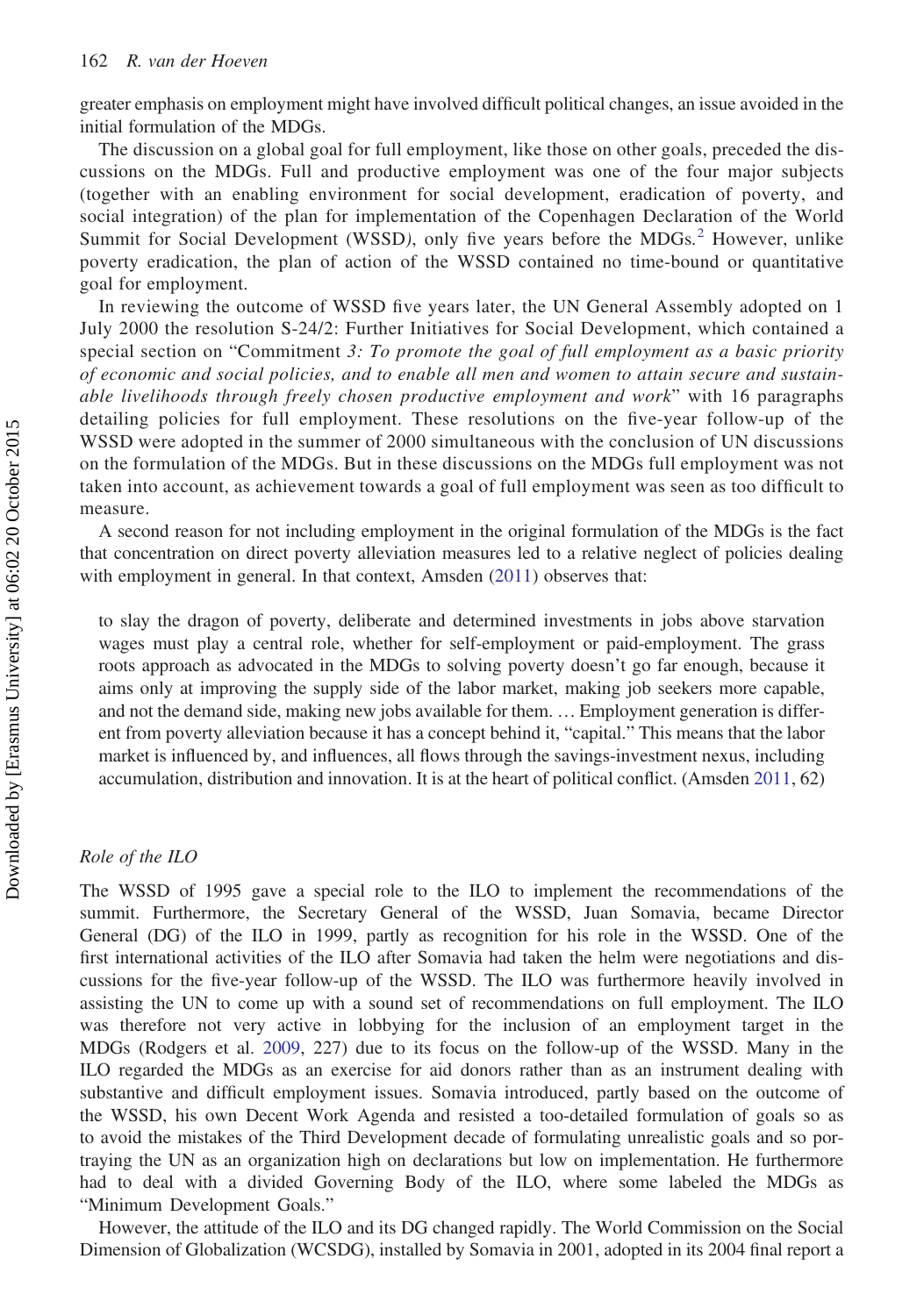greater emphasis on employment might have involved difficult political changes, an issue avoided in the initial formulation of the MDGs.

The discussion on a global goal for full employment, like those on other goals, preceded the discussions on the MDGs. Full and productive employment was one of the four major subjects (together with an enabling environment for social development, eradication of poverty, and social integration) of the plan for implementation of the Copenhagen Declaration of the World Summit for Social Development (WSSD), only five years before the MDGs.<sup>[2](#page-13-0)</sup> However, unlike poverty eradication, the plan of action of the WSSD contained no time-bound or quantitative goal for employment.

In reviewing the outcome of WSSD five years later, the UN General Assembly adopted on 1 July 2000 the resolution S-24/2: Further Initiatives for Social Development, which contained a special section on "Commitment 3: To promote the goal of full employment as a basic priority of economic and social policies, and to enable all men and women to attain secure and sustainable livelihoods through freely chosen productive employment and work" with 16 paragraphs detailing policies for full employment. These resolutions on the five-year follow-up of the WSSD were adopted in the summer of 2000 simultaneous with the conclusion of UN discussions on the formulation of the MDGs. But in these discussions on the MDGs full employment was not taken into account, as achievement towards a goal of full employment was seen as too difficult to measure.

A second reason for not including employment in the original formulation of the MDGs is the fact that concentration on direct poverty alleviation measures led to a relative neglect of policies dealing with employment in general. In that context, Amsden [\(2011](#page-14-0)) observes that:

to slay the dragon of poverty, deliberate and determined investments in jobs above starvation wages must play a central role, whether for self-employment or paid-employment. The grass roots approach as advocated in the MDGs to solving poverty doesn't go far enough, because it aims only at improving the supply side of the labor market, making job seekers more capable, and not the demand side, making new jobs available for them. … Employment generation is different from poverty alleviation because it has a concept behind it, "capital." This means that the labor market is influenced by, and influences, all flows through the savings-investment nexus, including accumulation, distribution and innovation. It is at the heart of political conflict. (Amsden [2011,](#page-14-0) 62)

## Role of the ILO

The WSSD of 1995 gave a special role to the ILO to implement the recommendations of the summit. Furthermore, the Secretary General of the WSSD, Juan Somavia, became Director General (DG) of the ILO in 1999, partly as recognition for his role in the WSSD. One of the first international activities of the ILO after Somavia had taken the helm were negotiations and discussions for the five-year follow-up of the WSSD. The ILO was furthermore heavily involved in assisting the UN to come up with a sound set of recommendations on full employment. The ILO was therefore not very active in lobbying for the inclusion of an employment target in the MDGs (Rodgers et al. [2009](#page-15-0), 227) due to its focus on the follow-up of the WSSD. Many in the ILO regarded the MDGs as an exercise for aid donors rather than as an instrument dealing with substantive and difficult employment issues. Somavia introduced, partly based on the outcome of the WSSD, his own Decent Work Agenda and resisted a too-detailed formulation of goals so as to avoid the mistakes of the Third Development decade of formulating unrealistic goals and so portraying the UN as an organization high on declarations but low on implementation. He furthermore had to deal with a divided Governing Body of the ILO, where some labeled the MDGs as "Minimum Development Goals."

However, the attitude of the ILO and its DG changed rapidly. The World Commission on the Social Dimension of Globalization (WCSDG), installed by Somavia in 2001, adopted in its 2004 final report a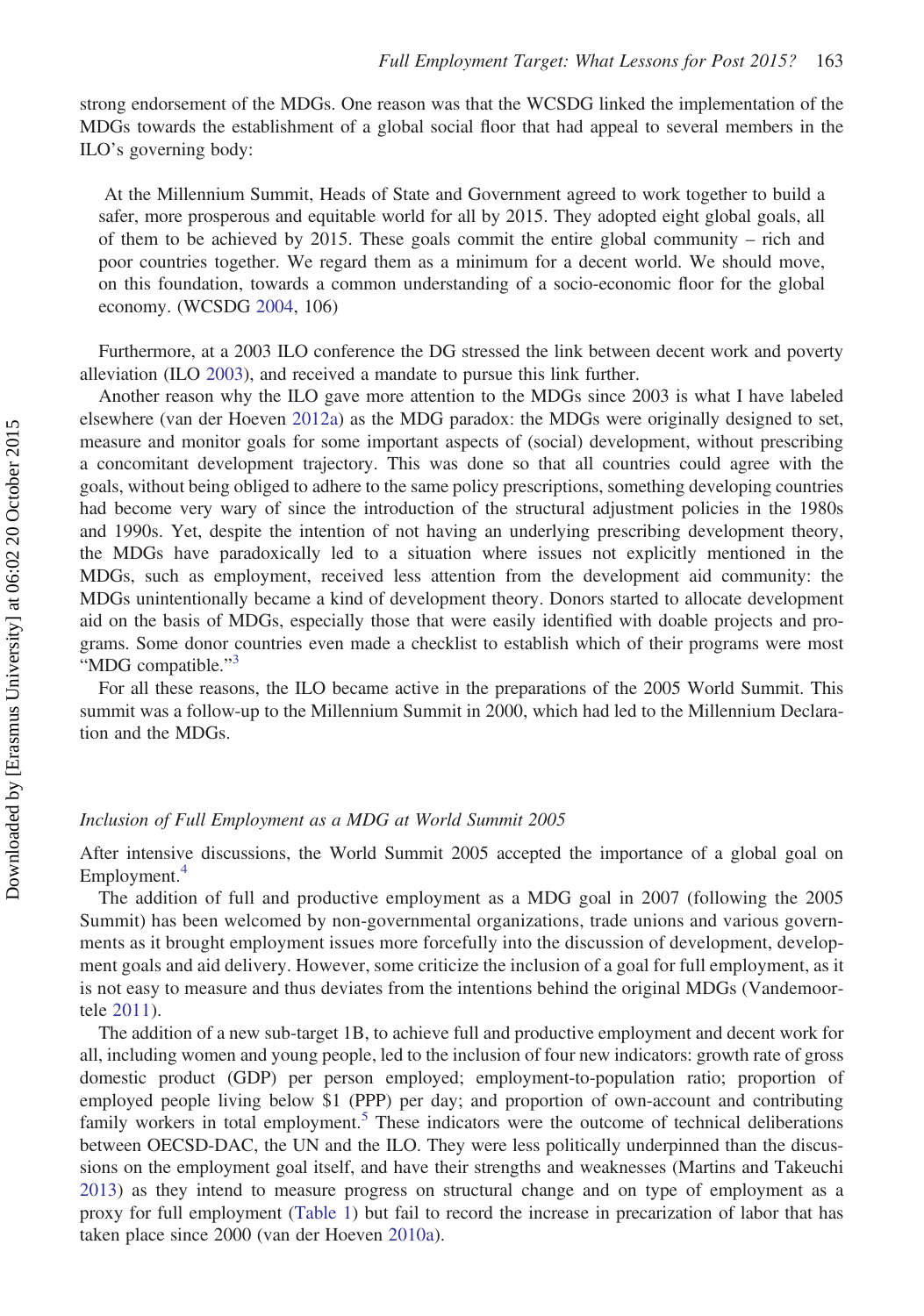strong endorsement of the MDGs. One reason was that the WCSDG linked the implementation of the MDGs towards the establishment of a global social floor that had appeal to several members in the ILO's governing body:

At the Millennium Summit, Heads of State and Government agreed to work together to build a safer, more prosperous and equitable world for all by 2015. They adopted eight global goals, all of them to be achieved by 2015. These goals commit the entire global community – rich and poor countries together. We regard them as a minimum for a decent world. We should move, on this foundation, towards a common understanding of a socio-economic floor for the global economy. (WCSDG [2004,](#page-15-0) 106)

Furthermore, at a 2003 ILO conference the DG stressed the link between decent work and poverty alleviation (ILO [2003](#page-14-0)), and received a mandate to pursue this link further.

Another reason why the ILO gave more attention to the MDGs since 2003 is what I have labeled elsewhere (van der Hoeven [2012a\)](#page-14-0) as the MDG paradox: the MDGs were originally designed to set, measure and monitor goals for some important aspects of (social) development, without prescribing a concomitant development trajectory. This was done so that all countries could agree with the goals, without being obliged to adhere to the same policy prescriptions, something developing countries had become very wary of since the introduction of the structural adjustment policies in the 1980s and 1990s. Yet, despite the intention of not having an underlying prescribing development theory, the MDGs have paradoxically led to a situation where issues not explicitly mentioned in the MDGs, such as employment, received less attention from the development aid community: the MDGs unintentionally became a kind of development theory. Donors started to allocate development aid on the basis of MDGs, especially those that were easily identified with doable projects and programs. Some donor countries even made a checklist to establish which of their programs were most "MDG compatible."[3](#page-13-0)

For all these reasons, the ILO became active in the preparations of the 2005 World Summit. This summit was a follow-up to the Millennium Summit in 2000, which had led to the Millennium Declaration and the MDGs.

### Inclusion of Full Employment as a MDG at World Summit 2005

After intensive discussions, the World Summit 2005 accepted the importance of a global goal on Employment.<sup>4</sup>

The addition of full and productive employment as a MDG goal in 2007 (following the 2005 Summit) has been welcomed by non-governmental organizations, trade unions and various governments as it brought employment issues more forcefully into the discussion of development, development goals and aid delivery. However, some criticize the inclusion of a goal for full employment, as it is not easy to measure and thus deviates from the intentions behind the original MDGs (Vandemoortele [2011\)](#page-15-0).

The addition of a new sub-target 1B, to achieve full and productive employment and decent work for all, including women and young people, led to the inclusion of four new indicators: growth rate of gross domestic product (GDP) per person employed; employment-to-population ratio; proportion of employed people living below \$1 (PPP) per day; and proportion of own-account and contributing family workers in total employment.<sup>[5](#page-13-0)</sup> These indicators were the outcome of technical deliberations between OECSD-DAC, the UN and the ILO. They were less politically underpinned than the discussions on the employment goal itself, and have their strengths and weaknesses (Martins and Takeuchi [2013\)](#page-15-0) as they intend to measure progress on structural change and on type of employment as a proxy for full employment [\(Table 1](#page-4-0)) but fail to record the increase in precarization of labor that has taken place since 2000 (van der Hoeven [2010a\)](#page-14-0).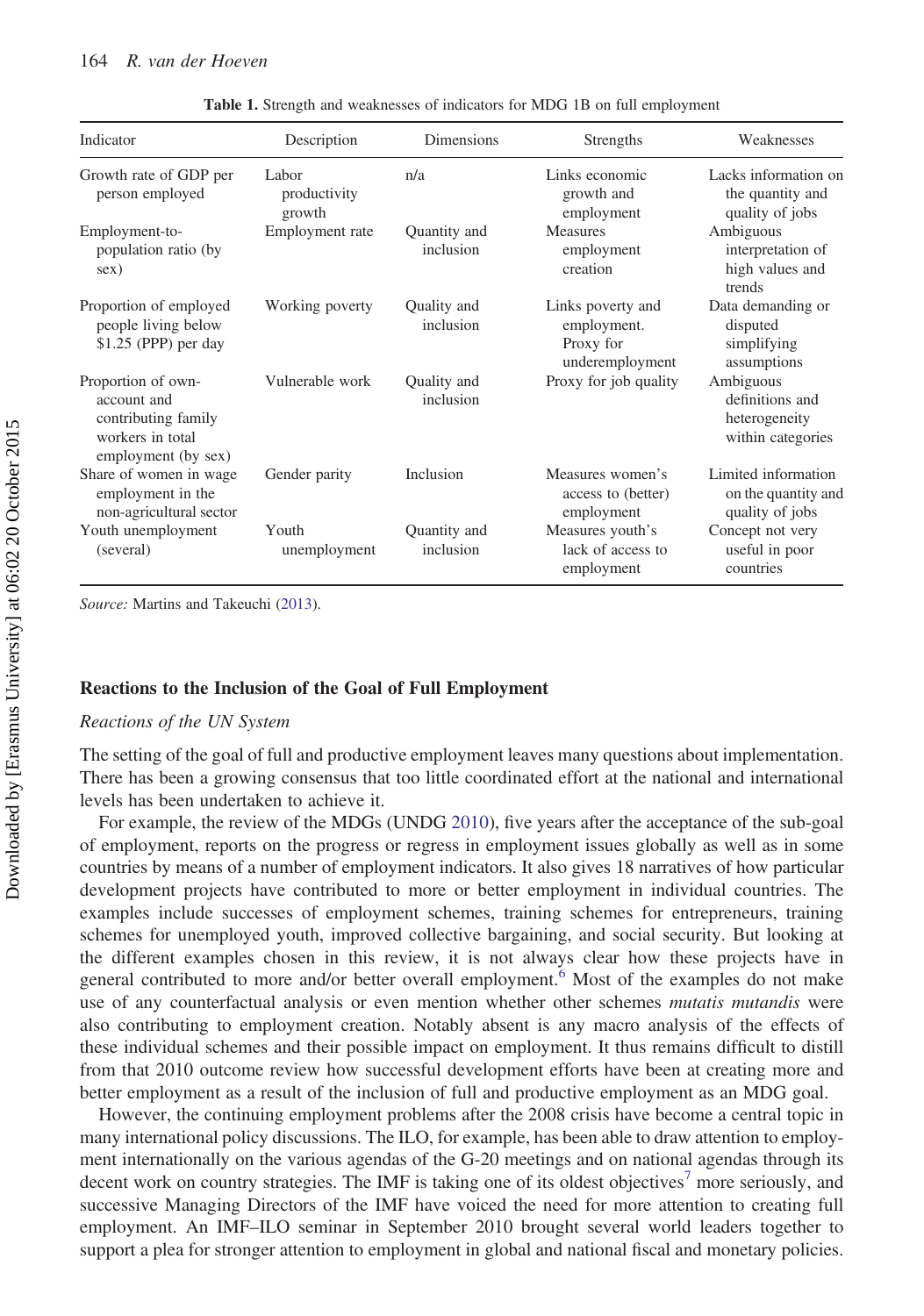<span id="page-4-0"></span>

| Indicator                                                                                           | Description                     | <b>Dimensions</b>         | Strengths                                                        | Weaknesses                                                         |  |  |
|-----------------------------------------------------------------------------------------------------|---------------------------------|---------------------------|------------------------------------------------------------------|--------------------------------------------------------------------|--|--|
| Growth rate of GDP per<br>person employed                                                           | Labor<br>productivity<br>growth | n/a                       | Links economic<br>growth and<br>employment                       | Lacks information on<br>the quantity and<br>quality of jobs        |  |  |
| Employment-to-<br>population ratio (by<br>sex)                                                      | Employment rate                 | Quantity and<br>inclusion | <b>Measures</b><br>employment<br>creation                        | Ambiguous<br>interpretation of<br>high values and<br>trends        |  |  |
| Proportion of employed<br>people living below<br>$$1.25$ (PPP) per day                              | Working poverty                 | Quality and<br>inclusion  | Links poverty and<br>employment.<br>Proxy for<br>underemployment | Data demanding or<br>disputed<br>simplifying<br>assumptions        |  |  |
| Proportion of own-<br>account and<br>contributing family<br>workers in total<br>employment (by sex) | Vulnerable work                 | Quality and<br>inclusion  | Proxy for job quality                                            | Ambiguous<br>definitions and<br>heterogeneity<br>within categories |  |  |
| Share of women in wage<br>employment in the<br>non-agricultural sector                              | Gender parity                   | Inclusion                 | Measures women's<br>access to (better)<br>employment             | Limited information<br>on the quantity and<br>quality of jobs      |  |  |
| Youth unemployment<br>(several)                                                                     | Youth<br>unemployment           | Quantity and<br>inclusion | Measures youth's<br>lack of access to<br>employment              | Concept not very<br>useful in poor<br>countries                    |  |  |

Table 1. Strength and weaknesses of indicators for MDG 1B on full employment

Source: Martins and Takeuchi ([2013\)](#page-15-0).

#### Reactions to the Inclusion of the Goal of Full Employment

## Reactions of the UN System

The setting of the goal of full and productive employment leaves many questions about implementation. There has been a growing consensus that too little coordinated effort at the national and international levels has been undertaken to achieve it.

For example, the review of the MDGs (UNDG [2010](#page-15-0)), five years after the acceptance of the sub-goal of employment, reports on the progress or regress in employment issues globally as well as in some countries by means of a number of employment indicators. It also gives 18 narratives of how particular development projects have contributed to more or better employment in individual countries. The examples include successes of employment schemes, training schemes for entrepreneurs, training schemes for unemployed youth, improved collective bargaining, and social security. But looking at the different examples chosen in this review, it is not always clear how these projects have in general contributed to more and/or better overall employment.<sup>[6](#page-13-0)</sup> Most of the examples do not make use of any counterfactual analysis or even mention whether other schemes mutatis mutandis were also contributing to employment creation. Notably absent is any macro analysis of the effects of these individual schemes and their possible impact on employment. It thus remains difficult to distill from that 2010 outcome review how successful development efforts have been at creating more and better employment as a result of the inclusion of full and productive employment as an MDG goal.

However, the continuing employment problems after the 2008 crisis have become a central topic in many international policy discussions. The ILO, for example, has been able to draw attention to employment internationally on the various agendas of the G-20 meetings and on national agendas through its decent work on country strategies. The IMF is taking one of its oldest objectives<sup> $\prime$ </sup> more seriously, and successive Managing Directors of the IMF have voiced the need for more attention to creating full employment. An IMF–ILO seminar in September 2010 brought several world leaders together to support a plea for stronger attention to employment in global and national fiscal and monetary policies.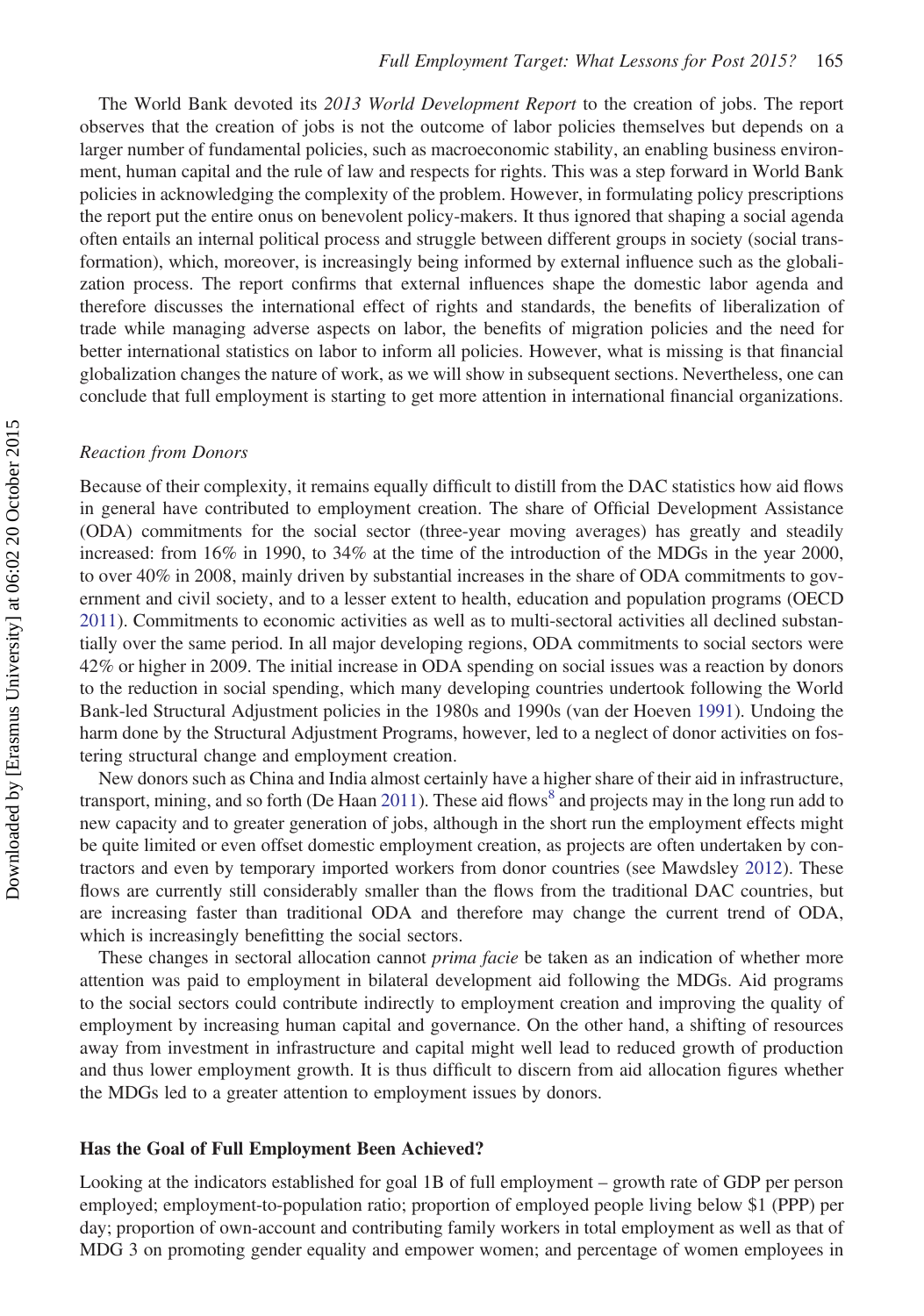The World Bank devoted its 2013 World Development Report to the creation of jobs. The report observes that the creation of jobs is not the outcome of labor policies themselves but depends on a larger number of fundamental policies, such as macroeconomic stability, an enabling business environment, human capital and the rule of law and respects for rights. This was a step forward in World Bank policies in acknowledging the complexity of the problem. However, in formulating policy prescriptions the report put the entire onus on benevolent policy-makers. It thus ignored that shaping a social agenda often entails an internal political process and struggle between different groups in society (social transformation), which, moreover, is increasingly being informed by external influence such as the globalization process. The report confirms that external influences shape the domestic labor agenda and therefore discusses the international effect of rights and standards, the benefits of liberalization of trade while managing adverse aspects on labor, the benefits of migration policies and the need for better international statistics on labor to inform all policies. However, what is missing is that financial globalization changes the nature of work, as we will show in subsequent sections. Nevertheless, one can conclude that full employment is starting to get more attention in international financial organizations.

#### Reaction from Donors

Because of their complexity, it remains equally difficult to distill from the DAC statistics how aid flows in general have contributed to employment creation. The share of Official Development Assistance (ODA) commitments for the social sector (three-year moving averages) has greatly and steadily increased: from 16% in 1990, to 34% at the time of the introduction of the MDGs in the year 2000, to over 40% in 2008, mainly driven by substantial increases in the share of ODA commitments to government and civil society, and to a lesser extent to health, education and population programs (OECD [2011\)](#page-15-0). Commitments to economic activities as well as to multi-sectoral activities all declined substantially over the same period. In all major developing regions, ODA commitments to social sectors were 42% or higher in 2009. The initial increase in ODA spending on social issues was a reaction by donors to the reduction in social spending, which many developing countries undertook following the World Bank-led Structural Adjustment policies in the 1980s and 1990s (van der Hoeven [1991](#page-14-0)). Undoing the harm done by the Structural Adjustment Programs, however, led to a neglect of donor activities on fostering structural change and employment creation.

New donors such as China and India almost certainly have a higher share of their aid in infrastructure, transport, mining, and so forth (De Haan [2011](#page-14-0)). These aid flows<sup>[8](#page-14-0)</sup> and projects may in the long run add to new capacity and to greater generation of jobs, although in the short run the employment effects might be quite limited or even offset domestic employment creation, as projects are often undertaken by contractors and even by temporary imported workers from donor countries (see Mawdsley [2012\)](#page-15-0). These flows are currently still considerably smaller than the flows from the traditional DAC countries, but are increasing faster than traditional ODA and therefore may change the current trend of ODA, which is increasingly benefitting the social sectors.

These changes in sectoral allocation cannot *prima facie* be taken as an indication of whether more attention was paid to employment in bilateral development aid following the MDGs. Aid programs to the social sectors could contribute indirectly to employment creation and improving the quality of employment by increasing human capital and governance. On the other hand, a shifting of resources away from investment in infrastructure and capital might well lead to reduced growth of production and thus lower employment growth. It is thus difficult to discern from aid allocation figures whether the MDGs led to a greater attention to employment issues by donors.

#### Has the Goal of Full Employment Been Achieved?

Looking at the indicators established for goal 1B of full employment – growth rate of GDP per person employed; employment-to-population ratio; proportion of employed people living below \$1 (PPP) per day; proportion of own-account and contributing family workers in total employment as well as that of MDG 3 on promoting gender equality and empower women; and percentage of women employees in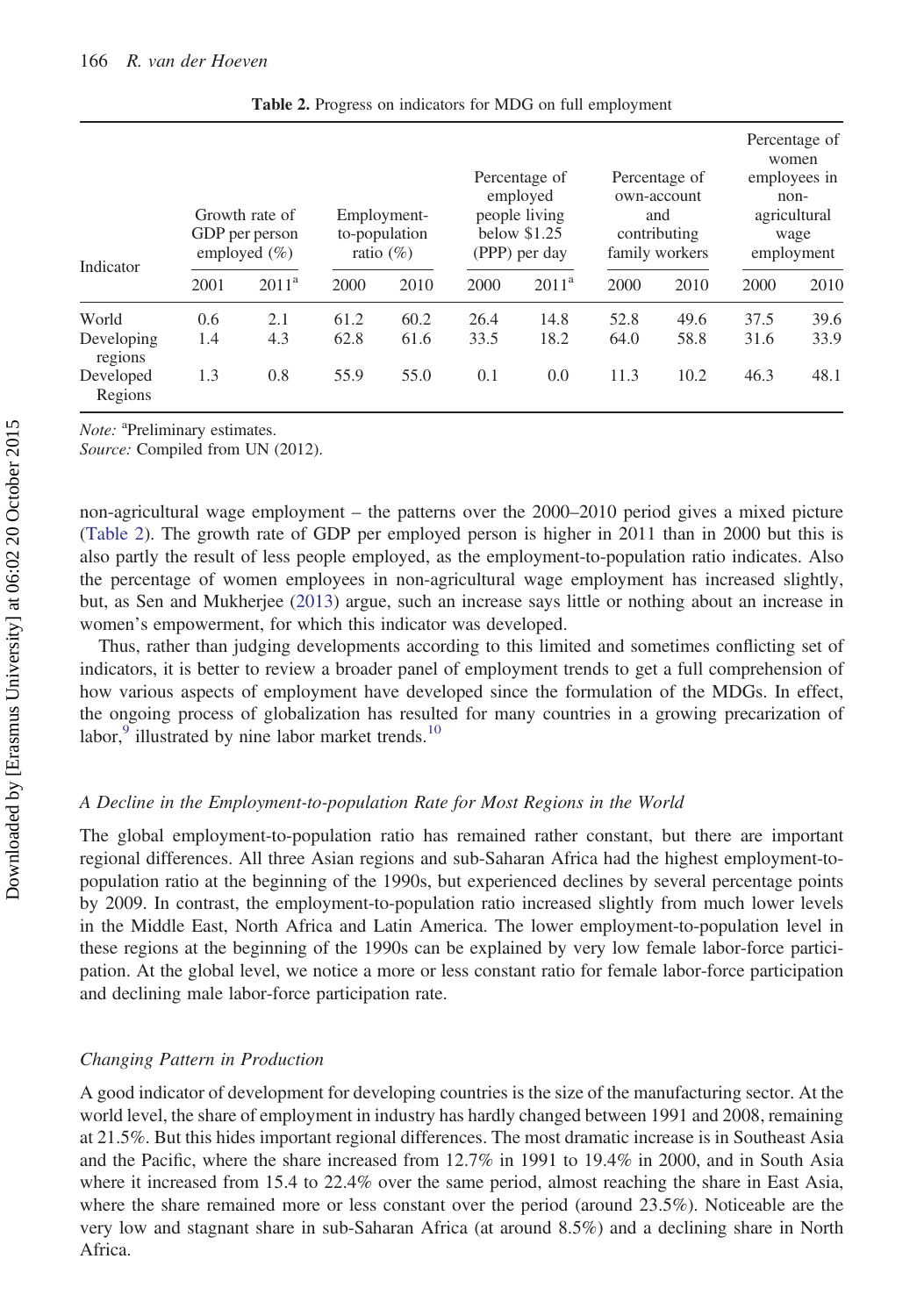| Indicator             |      | Growth rate of<br>GDP per person<br>employed $(\% )$ |      | Employment-<br>to-population<br>ratio $(\%)$ |      | Percentage of<br>employed<br>people living<br>below $$1.25$<br>(PPP) per day |      | Percentage of<br>own-account<br>and<br>contributing<br>family workers |      | Percentage of<br>women<br>employees in<br>non-<br>agricultural<br>wage<br>employment |  |
|-----------------------|------|------------------------------------------------------|------|----------------------------------------------|------|------------------------------------------------------------------------------|------|-----------------------------------------------------------------------|------|--------------------------------------------------------------------------------------|--|
|                       | 2001 | $2011^a$                                             | 2000 | 2010                                         | 2000 | $2011^a$                                                                     | 2000 | 2010                                                                  | 2000 | 2010                                                                                 |  |
| World                 | 0.6  | 2.1                                                  | 61.2 | 60.2                                         | 26.4 | 14.8                                                                         | 52.8 | 49.6                                                                  | 37.5 | 39.6                                                                                 |  |
| Developing<br>regions | 1.4  | 4.3                                                  | 62.8 | 61.6                                         | 33.5 | 18.2                                                                         | 64.0 | 58.8                                                                  | 31.6 | 33.9                                                                                 |  |
| Developed<br>Regions  | 1.3  | 0.8                                                  | 55.9 | 55.0                                         | 0.1  | 0.0                                                                          | 11.3 | 10.2                                                                  | 46.3 | 48.1                                                                                 |  |

Table 2. Progress on indicators for MDG on full employment

Note: <sup>a</sup>Preliminary estimates.

Source: Compiled from UN (2012).

non-agricultural wage employment – the patterns over the 2000–2010 period gives a mixed picture (Table 2). The growth rate of GDP per employed person is higher in 2011 than in 2000 but this is also partly the result of less people employed, as the employment-to-population ratio indicates. Also the percentage of women employees in non-agricultural wage employment has increased slightly, but, as Sen and Mukherjee [\(2013](#page-15-0)) argue, such an increase says little or nothing about an increase in women's empowerment, for which this indicator was developed.

Thus, rather than judging developments according to this limited and sometimes conflicting set of indicators, it is better to review a broader panel of employment trends to get a full comprehension of how various aspects of employment have developed since the formulation of the MDGs. In effect, the ongoing process of globalization has resulted for many countries in a growing precarization of labor, $\frac{9}{10}$  $\frac{9}{10}$  $\frac{9}{10}$  $\frac{9}{10}$  $\frac{9}{10}$  illustrated by nine labor market trends.<sup>10</sup>

## A Decline in the Employment-to-population Rate for Most Regions in the World

The global employment-to-population ratio has remained rather constant, but there are important regional differences. All three Asian regions and sub-Saharan Africa had the highest employment-topopulation ratio at the beginning of the 1990s, but experienced declines by several percentage points by 2009. In contrast, the employment-to-population ratio increased slightly from much lower levels in the Middle East, North Africa and Latin America. The lower employment-to-population level in these regions at the beginning of the 1990s can be explained by very low female labor-force participation. At the global level, we notice a more or less constant ratio for female labor-force participation and declining male labor-force participation rate.

### Changing Pattern in Production

A good indicator of development for developing countries is the size of the manufacturing sector. At the world level, the share of employment in industry has hardly changed between 1991 and 2008, remaining at 21.5%. But this hides important regional differences. The most dramatic increase is in Southeast Asia and the Pacific, where the share increased from 12.7% in 1991 to 19.4% in 2000, and in South Asia where it increased from 15.4 to 22.4% over the same period, almost reaching the share in East Asia, where the share remained more or less constant over the period (around 23.5%). Noticeable are the very low and stagnant share in sub-Saharan Africa (at around 8.5%) and a declining share in North Africa.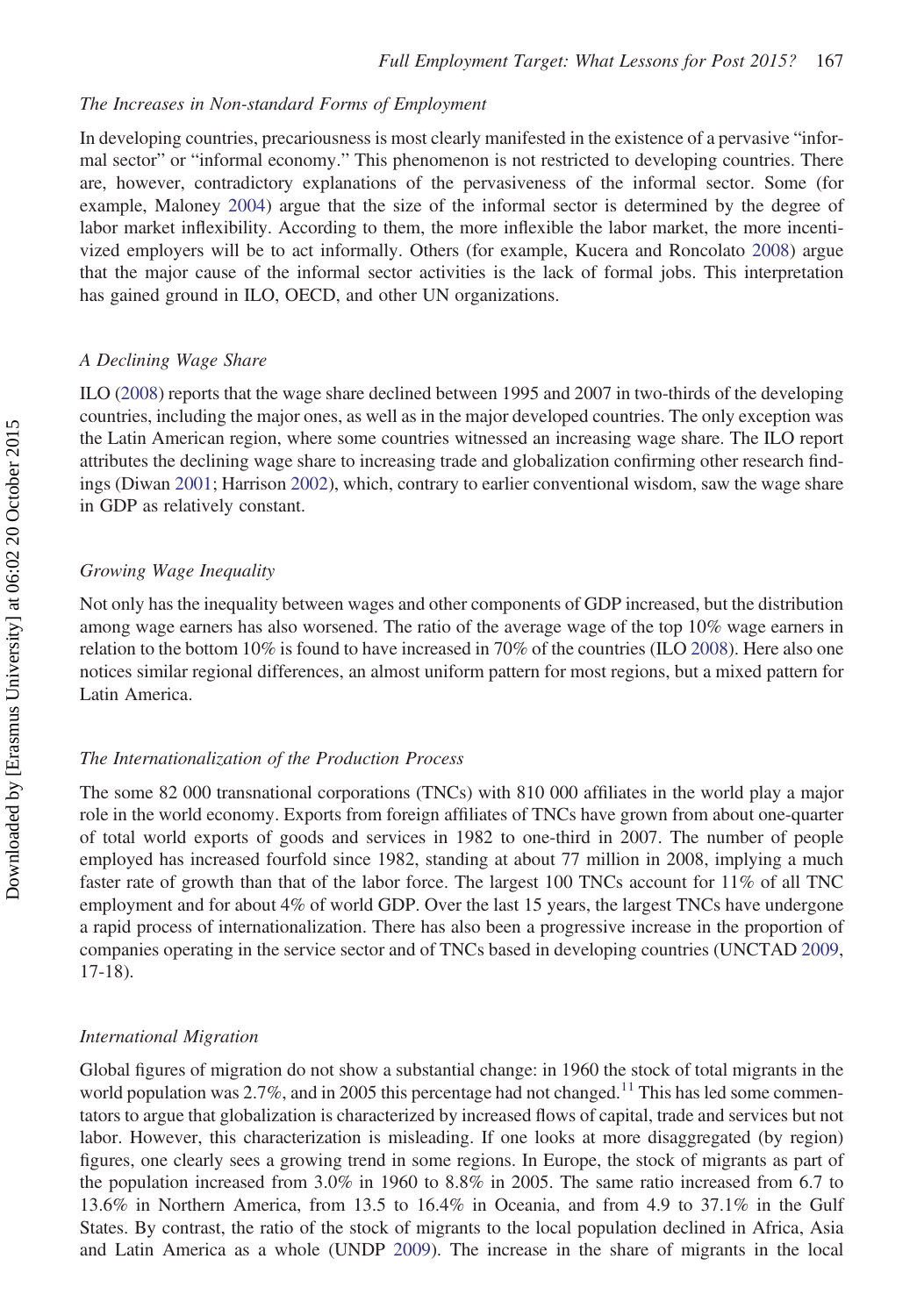### The Increases in Non-standard Forms of Employment

In developing countries, precariousness is most clearly manifested in the existence of a pervasive "informal sector" or "informal economy." This phenomenon is not restricted to developing countries. There are, however, contradictory explanations of the pervasiveness of the informal sector. Some (for example, Maloney [2004\)](#page-15-0) argue that the size of the informal sector is determined by the degree of labor market inflexibility. According to them, the more inflexible the labor market, the more incentivized employers will be to act informally. Others (for example, Kucera and Roncolato [2008\)](#page-14-0) argue that the major cause of the informal sector activities is the lack of formal jobs. This interpretation has gained ground in ILO, OECD, and other UN organizations.

## A Declining Wage Share

ILO ([2008\)](#page-14-0) reports that the wage share declined between 1995 and 2007 in two-thirds of the developing countries, including the major ones, as well as in the major developed countries. The only exception was the Latin American region, where some countries witnessed an increasing wage share. The ILO report attributes the declining wage share to increasing trade and globalization confirming other research findings (Diwan [2001](#page-14-0); Harrison [2002](#page-14-0)), which, contrary to earlier conventional wisdom, saw the wage share in GDP as relatively constant.

## Growing Wage Inequality

Not only has the inequality between wages and other components of GDP increased, but the distribution among wage earners has also worsened. The ratio of the average wage of the top 10% wage earners in relation to the bottom 10% is found to have increased in 70% of the countries (ILO [2008\)](#page-14-0). Here also one notices similar regional differences, an almost uniform pattern for most regions, but a mixed pattern for Latin America.

### The Internationalization of the Production Process

The some 82 000 transnational corporations (TNCs) with 810 000 affiliates in the world play a major role in the world economy. Exports from foreign affiliates of TNCs have grown from about one-quarter of total world exports of goods and services in 1982 to one-third in 2007. The number of people employed has increased fourfold since 1982, standing at about 77 million in 2008, implying a much faster rate of growth than that of the labor force. The largest 100 TNCs account for 11% of all TNC employment and for about 4% of world GDP. Over the last 15 years, the largest TNCs have undergone a rapid process of internationalization. There has also been a progressive increase in the proportion of companies operating in the service sector and of TNCs based in developing countries (UNCTAD [2009](#page-15-0), 17-18).

## International Migration

Global figures of migration do not show a substantial change: in 1960 the stock of total migrants in the world population was 2.7%, and in 2005 this percentage had not changed.<sup>[11](#page-14-0)</sup> This has led some commentators to argue that globalization is characterized by increased flows of capital, trade and services but not labor. However, this characterization is misleading. If one looks at more disaggregated (by region) figures, one clearly sees a growing trend in some regions. In Europe, the stock of migrants as part of the population increased from 3.0% in 1960 to 8.8% in 2005. The same ratio increased from 6.7 to 13.6% in Northern America, from 13.5 to 16.4% in Oceania, and from 4.9 to 37.1% in the Gulf States. By contrast, the ratio of the stock of migrants to the local population declined in Africa, Asia and Latin America as a whole (UNDP [2009](#page-15-0)). The increase in the share of migrants in the local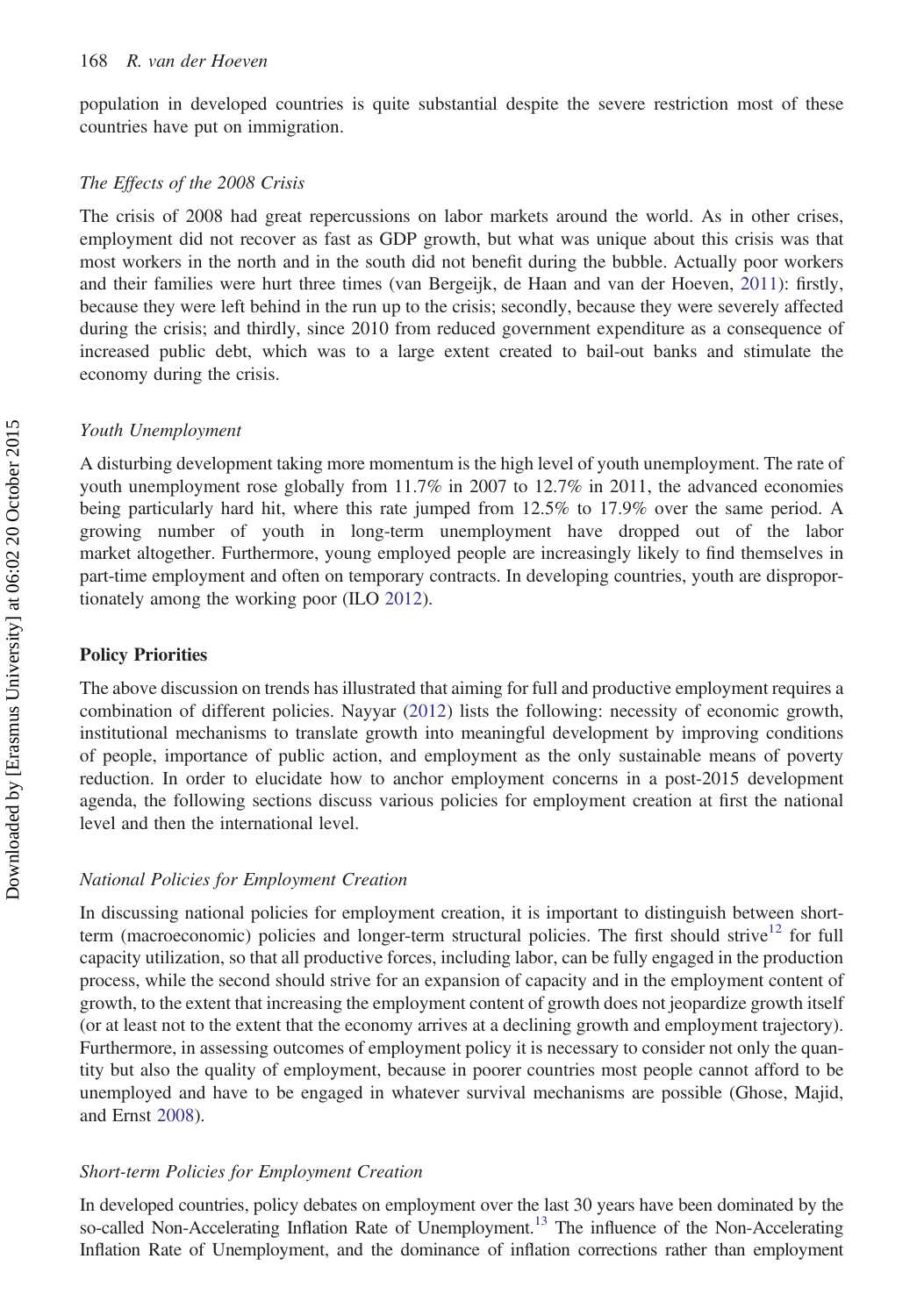population in developed countries is quite substantial despite the severe restriction most of these countries have put on immigration.

## The Effects of the 2008 Crisis

The crisis of 2008 had great repercussions on labor markets around the world. As in other crises, employment did not recover as fast as GDP growth, but what was unique about this crisis was that most workers in the north and in the south did not benefit during the bubble. Actually poor workers and their families were hurt three times (van Bergeijk, de Haan and van der Hoeven, [2011\)](#page-14-0): firstly, because they were left behind in the run up to the crisis; secondly, because they were severely affected during the crisis; and thirdly, since 2010 from reduced government expenditure as a consequence of increased public debt, which was to a large extent created to bail-out banks and stimulate the economy during the crisis.

## Youth Unemployment

A disturbing development taking more momentum is the high level of youth unemployment. The rate of youth unemployment rose globally from 11.7% in 2007 to 12.7% in 2011, the advanced economies being particularly hard hit, where this rate jumped from 12.5% to 17.9% over the same period. A growing number of youth in long-term unemployment have dropped out of the labor market altogether. Furthermore, young employed people are increasingly likely to find themselves in part-time employment and often on temporary contracts. In developing countries, youth are disproportionately among the working poor (ILO [2012\)](#page-14-0).

## Policy Priorities

The above discussion on trends has illustrated that aiming for full and productive employment requires a combination of different policies. Nayyar [\(2012\)](#page-15-0) lists the following: necessity of economic growth, institutional mechanisms to translate growth into meaningful development by improving conditions of people, importance of public action, and employment as the only sustainable means of poverty reduction. In order to elucidate how to anchor employment concerns in a post-2015 development agenda, the following sections discuss various policies for employment creation at first the national level and then the international level.

## National Policies for Employment Creation

In discussing national policies for employment creation, it is important to distinguish between short-term (macroeconomic) policies and longer-term structural policies. The first should strive<sup>[12](#page-14-0)</sup> for full capacity utilization, so that all productive forces, including labor, can be fully engaged in the production process, while the second should strive for an expansion of capacity and in the employment content of growth, to the extent that increasing the employment content of growth does not jeopardize growth itself (or at least not to the extent that the economy arrives at a declining growth and employment trajectory). Furthermore, in assessing outcomes of employment policy it is necessary to consider not only the quantity but also the quality of employment, because in poorer countries most people cannot afford to be unemployed and have to be engaged in whatever survival mechanisms are possible (Ghose, Majid, and Ernst [2008\)](#page-14-0).

### Short-term Policies for Employment Creation

In developed countries, policy debates on employment over the last 30 years have been dominated by the so-called Non-Accelerating Inflation Rate of Unemployment.<sup>13</sup> The influence of the Non-Accelerating Inflation Rate of Unemployment, and the dominance of inflation corrections rather than employment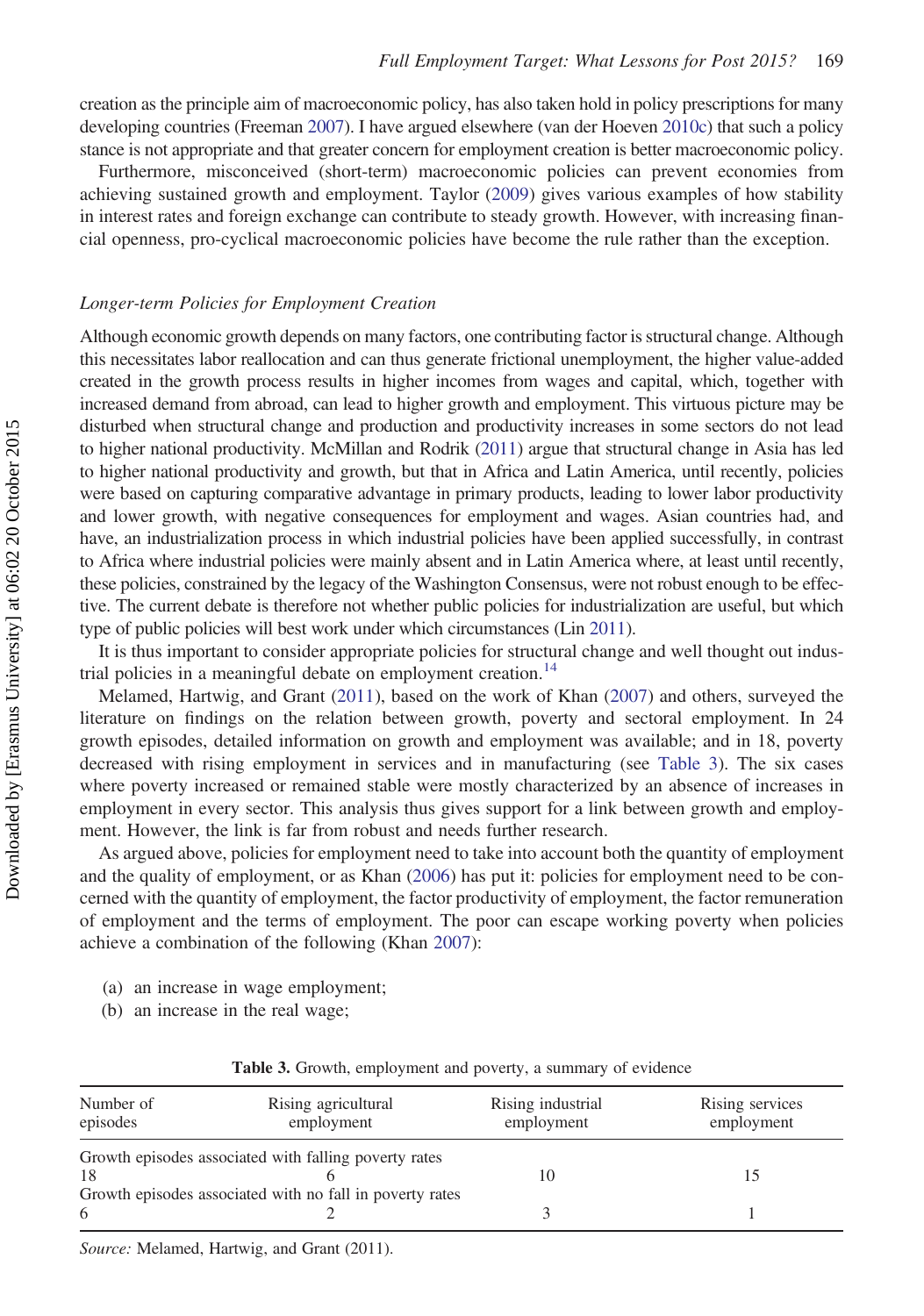creation as the principle aim of macroeconomic policy, has also taken hold in policy prescriptions for many developing countries (Freeman [2007\)](#page-14-0). I have argued elsewhere (van der Hoeven [2010c](#page-14-0)) that such a policy stance is not appropriate and that greater concern for employment creation is better macroeconomic policy.

Furthermore, misconceived (short-term) macroeconomic policies can prevent economies from achieving sustained growth and employment. Taylor [\(2009\)](#page-15-0) gives various examples of how stability in interest rates and foreign exchange can contribute to steady growth. However, with increasing financial openness, pro-cyclical macroeconomic policies have become the rule rather than the exception.

### Longer-term Policies for Employment Creation

Although economic growth depends on many factors, one contributing factor is structural change. Although this necessitates labor reallocation and can thus generate frictional unemployment, the higher value-added created in the growth process results in higher incomes from wages and capital, which, together with increased demand from abroad, can lead to higher growth and employment. This virtuous picture may be disturbed when structural change and production and productivity increases in some sectors do not lead to higher national productivity. McMillan and Rodrik ([2011](#page-15-0)) argue that structural change in Asia has led to higher national productivity and growth, but that in Africa and Latin America, until recently, policies were based on capturing comparative advantage in primary products, leading to lower labor productivity and lower growth, with negative consequences for employment and wages. Asian countries had, and have, an industrialization process in which industrial policies have been applied successfully, in contrast to Africa where industrial policies were mainly absent and in Latin America where, at least until recently, these policies, constrained by the legacy of the Washington Consensus, were not robust enough to be effective. The current debate is therefore not whether public policies for industrialization are useful, but which type of public policies will best work under which circumstances (Lin [2011](#page-15-0)).

It is thus important to consider appropriate policies for structural change and well thought out indus-trial policies in a meaningful debate on employment creation.<sup>[14](#page-14-0)</sup>

Melamed, Hartwig, and Grant [\(2011](#page-15-0)), based on the work of Khan ([2007\)](#page-14-0) and others, surveyed the literature on findings on the relation between growth, poverty and sectoral employment. In 24 growth episodes, detailed information on growth and employment was available; and in 18, poverty decreased with rising employment in services and in manufacturing (see Table 3). The six cases where poverty increased or remained stable were mostly characterized by an absence of increases in employment in every sector. This analysis thus gives support for a link between growth and employment. However, the link is far from robust and needs further research.

As argued above, policies for employment need to take into account both the quantity of employment and the quality of employment, or as Khan [\(2006](#page-14-0)) has put it: policies for employment need to be concerned with the quantity of employment, the factor productivity of employment, the factor remuneration of employment and the terms of employment. The poor can escape working poverty when policies achieve a combination of the following (Khan [2007\)](#page-14-0):

- (a) an increase in wage employment;
- (b) an increase in the real wage;

| Number of<br>episodes | Rising agricultural<br>employment                        | Rising industrial<br>employment | Rising services<br>employment |  |
|-----------------------|----------------------------------------------------------|---------------------------------|-------------------------------|--|
|                       | Growth episodes associated with falling poverty rates    |                                 |                               |  |
| 18                    |                                                          | 10                              |                               |  |
|                       | Growth episodes associated with no fall in poverty rates |                                 |                               |  |
| 6                     |                                                          |                                 |                               |  |
|                       |                                                          |                                 |                               |  |

## Table 3. Growth, employment and poverty, a summary of evidence

Source: Melamed, Hartwig, and Grant (2011).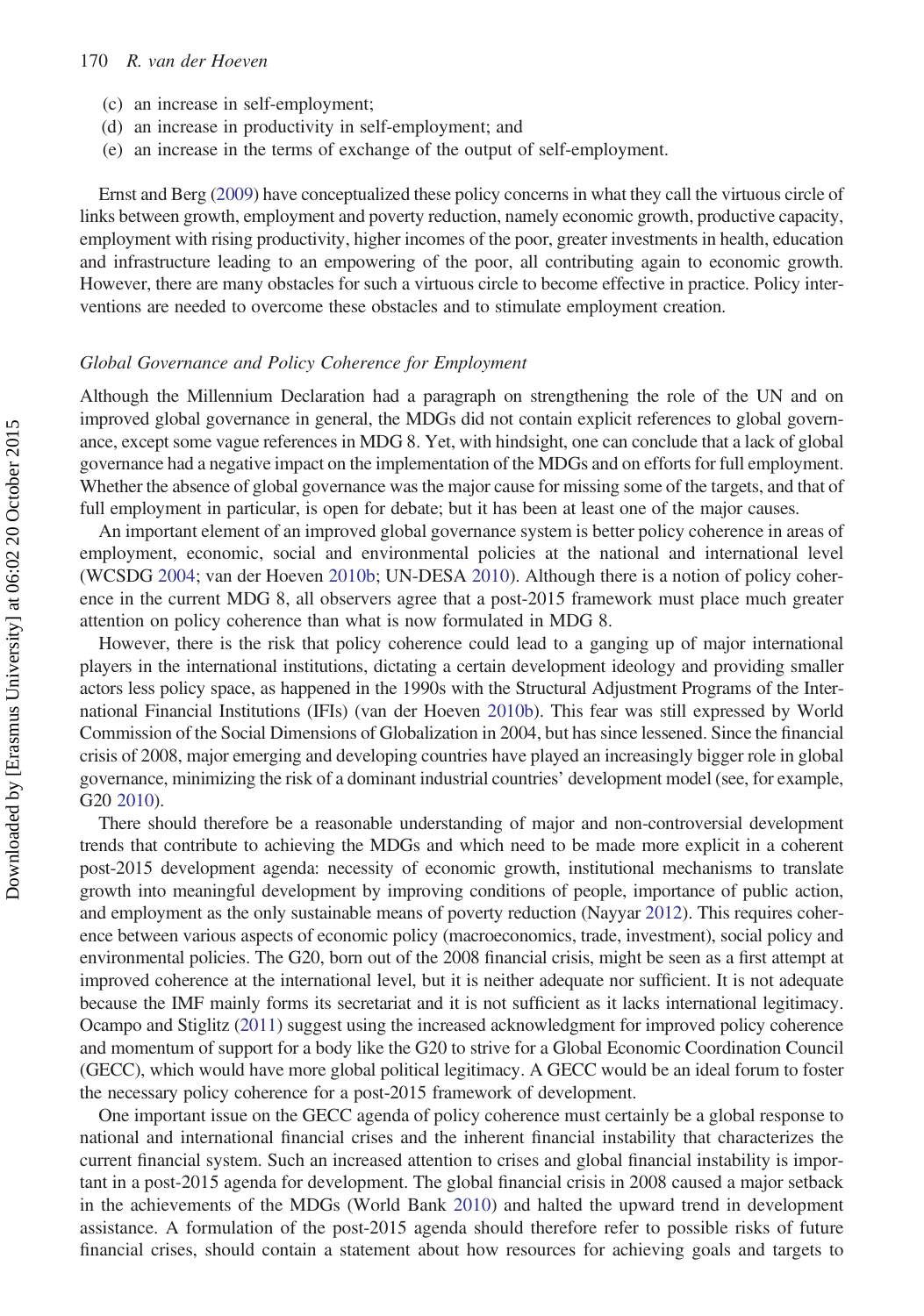- (c) an increase in self-employment;
- (d) an increase in productivity in self-employment; and
- (e) an increase in the terms of exchange of the output of self-employment.

Ernst and Berg [\(2009](#page-14-0)) have conceptualized these policy concerns in what they call the virtuous circle of links between growth, employment and poverty reduction, namely economic growth, productive capacity, employment with rising productivity, higher incomes of the poor, greater investments in health, education and infrastructure leading to an empowering of the poor, all contributing again to economic growth. However, there are many obstacles for such a virtuous circle to become effective in practice. Policy interventions are needed to overcome these obstacles and to stimulate employment creation.

### Global Governance and Policy Coherence for Employment

Although the Millennium Declaration had a paragraph on strengthening the role of the UN and on improved global governance in general, the MDGs did not contain explicit references to global governance, except some vague references in MDG 8. Yet, with hindsight, one can conclude that a lack of global governance had a negative impact on the implementation of the MDGs and on efforts for full employment. Whether the absence of global governance was the major cause for missing some of the targets, and that of full employment in particular, is open for debate; but it has been at least one of the major causes.

An important element of an improved global governance system is better policy coherence in areas of employment, economic, social and environmental policies at the national and international level (WCSDG [2004](#page-15-0); van der Hoeven [2010b;](#page-14-0) UN-DESA [2010](#page-15-0)). Although there is a notion of policy coherence in the current MDG 8, all observers agree that a post-2015 framework must place much greater attention on policy coherence than what is now formulated in MDG 8.

However, there is the risk that policy coherence could lead to a ganging up of major international players in the international institutions, dictating a certain development ideology and providing smaller actors less policy space, as happened in the 1990s with the Structural Adjustment Programs of the International Financial Institutions (IFIs) (van der Hoeven [2010b\)](#page-14-0). This fear was still expressed by World Commission of the Social Dimensions of Globalization in 2004, but has since lessened. Since the financial crisis of 2008, major emerging and developing countries have played an increasingly bigger role in global governance, minimizing the risk of a dominant industrial countries' development model (see, for example, G20 [2010](#page-14-0)).

There should therefore be a reasonable understanding of major and non-controversial development trends that contribute to achieving the MDGs and which need to be made more explicit in a coherent post-2015 development agenda: necessity of economic growth, institutional mechanisms to translate growth into meaningful development by improving conditions of people, importance of public action, and employment as the only sustainable means of poverty reduction (Nayyar [2012](#page-15-0)). This requires coherence between various aspects of economic policy (macroeconomics, trade, investment), social policy and environmental policies. The G20, born out of the 2008 financial crisis, might be seen as a first attempt at improved coherence at the international level, but it is neither adequate nor sufficient. It is not adequate because the IMF mainly forms its secretariat and it is not sufficient as it lacks international legitimacy. Ocampo and Stiglitz [\(2011\)](#page-15-0) suggest using the increased acknowledgment for improved policy coherence and momentum of support for a body like the G20 to strive for a Global Economic Coordination Council (GECC), which would have more global political legitimacy. A GECC would be an ideal forum to foster the necessary policy coherence for a post-2015 framework of development.

One important issue on the GECC agenda of policy coherence must certainly be a global response to national and international financial crises and the inherent financial instability that characterizes the current financial system. Such an increased attention to crises and global financial instability is important in a post-2015 agenda for development. The global financial crisis in 2008 caused a major setback in the achievements of the MDGs (World Bank [2010](#page-15-0)) and halted the upward trend in development assistance. A formulation of the post-2015 agenda should therefore refer to possible risks of future financial crises, should contain a statement about how resources for achieving goals and targets to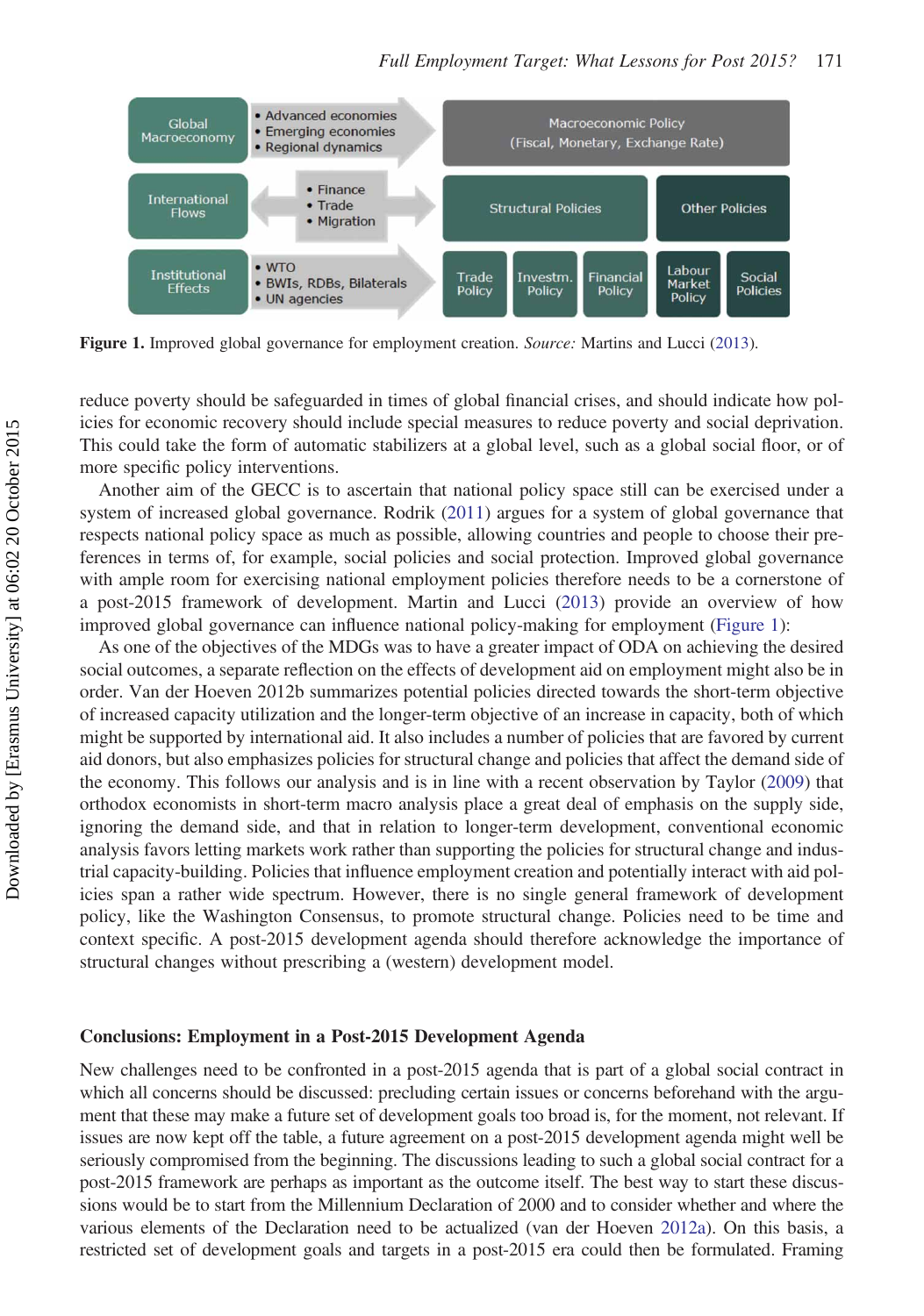

Figure 1. Improved global governance for employment creation. *Source:* Martins and Lucci [\(2013](#page-15-0)).

reduce poverty should be safeguarded in times of global financial crises, and should indicate how policies for economic recovery should include special measures to reduce poverty and social deprivation. This could take the form of automatic stabilizers at a global level, such as a global social floor, or of more specific policy interventions.

Another aim of the GECC is to ascertain that national policy space still can be exercised under a system of increased global governance. Rodrik ([2011\)](#page-15-0) argues for a system of global governance that respects national policy space as much as possible, allowing countries and people to choose their preferences in terms of, for example, social policies and social protection. Improved global governance with ample room for exercising national employment policies therefore needs to be a cornerstone of a post-2015 framework of development. Martin and Lucci ([2013\)](#page-15-0) provide an overview of how improved global governance can influence national policy-making for employment (Figure 1):

As one of the objectives of the MDGs was to have a greater impact of ODA on achieving the desired social outcomes, a separate reflection on the effects of development aid on employment might also be in order. Van der Hoeven 2012b summarizes potential policies directed towards the short-term objective of increased capacity utilization and the longer-term objective of an increase in capacity, both of which might be supported by international aid. It also includes a number of policies that are favored by current aid donors, but also emphasizes policies for structural change and policies that affect the demand side of the economy. This follows our analysis and is in line with a recent observation by Taylor ([2009\)](#page-15-0) that orthodox economists in short-term macro analysis place a great deal of emphasis on the supply side, ignoring the demand side, and that in relation to longer-term development, conventional economic analysis favors letting markets work rather than supporting the policies for structural change and industrial capacity-building. Policies that influence employment creation and potentially interact with aid policies span a rather wide spectrum. However, there is no single general framework of development policy, like the Washington Consensus, to promote structural change. Policies need to be time and context specific. A post-2015 development agenda should therefore acknowledge the importance of structural changes without prescribing a (western) development model.

## Conclusions: Employment in a Post-2015 Development Agenda

New challenges need to be confronted in a post-2015 agenda that is part of a global social contract in which all concerns should be discussed: precluding certain issues or concerns beforehand with the argument that these may make a future set of development goals too broad is, for the moment, not relevant. If issues are now kept off the table, a future agreement on a post-2015 development agenda might well be seriously compromised from the beginning. The discussions leading to such a global social contract for a post-2015 framework are perhaps as important as the outcome itself. The best way to start these discussions would be to start from the Millennium Declaration of 2000 and to consider whether and where the various elements of the Declaration need to be actualized (van der Hoeven [2012a\)](#page-14-0). On this basis, a restricted set of development goals and targets in a post-2015 era could then be formulated. Framing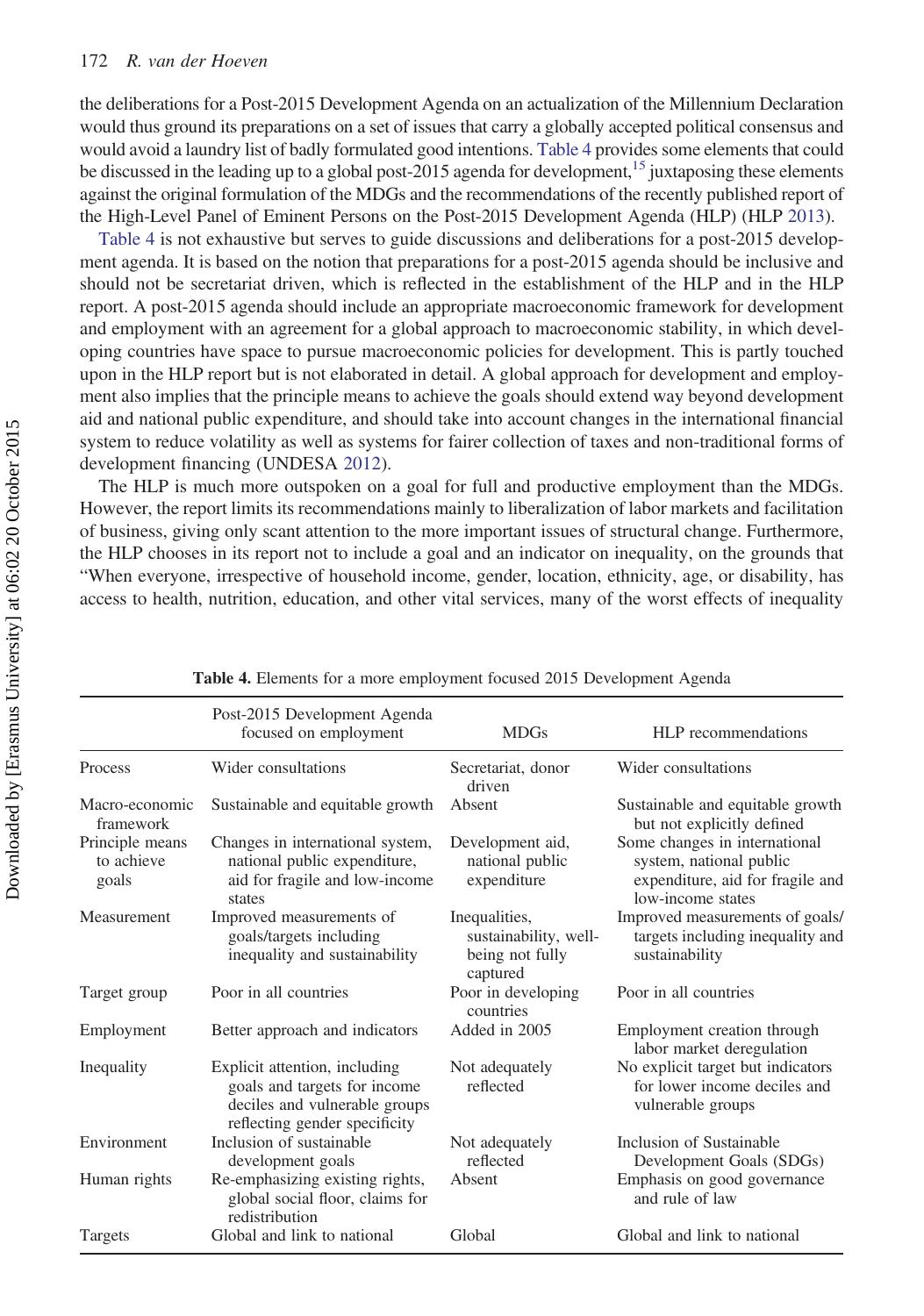the deliberations for a Post-2015 Development Agenda on an actualization of the Millennium Declaration would thus ground its preparations on a set of issues that carry a globally accepted political consensus and would avoid a laundry list of badly formulated good intentions. Table 4 provides some elements that could be discussed in the leading up to a global post-20[15](#page-14-0) agenda for development,<sup>15</sup> juxtaposing these elements against the original formulation of the MDGs and the recommendations of the recently published report of the High-Level Panel of Eminent Persons on the Post-2015 Development Agenda (HLP) (HLP [2013](#page-14-0)).

Table 4 is not exhaustive but serves to guide discussions and deliberations for a post-2015 development agenda. It is based on the notion that preparations for a post-2015 agenda should be inclusive and should not be secretariat driven, which is reflected in the establishment of the HLP and in the HLP report. A post-2015 agenda should include an appropriate macroeconomic framework for development and employment with an agreement for a global approach to macroeconomic stability, in which developing countries have space to pursue macroeconomic policies for development. This is partly touched upon in the HLP report but is not elaborated in detail. A global approach for development and employment also implies that the principle means to achieve the goals should extend way beyond development aid and national public expenditure, and should take into account changes in the international financial system to reduce volatility as well as systems for fairer collection of taxes and non-traditional forms of development financing (UNDESA [2012\)](#page-15-0).

The HLP is much more outspoken on a goal for full and productive employment than the MDGs. However, the report limits its recommendations mainly to liberalization of labor markets and facilitation of business, giving only scant attention to the more important issues of structural change. Furthermore, the HLP chooses in its report not to include a goal and an indicator on inequality, on the grounds that "When everyone, irrespective of household income, gender, location, ethnicity, age, or disability, has access to health, nutrition, education, and other vital services, many of the worst effects of inequality

|                                        | Post-2015 Development Agenda<br>focused on employment                                                                           | <b>MDGs</b>                                                           | HLP recommendations                                                                                               |  |  |
|----------------------------------------|---------------------------------------------------------------------------------------------------------------------------------|-----------------------------------------------------------------------|-------------------------------------------------------------------------------------------------------------------|--|--|
| Process                                | Wider consultations                                                                                                             |                                                                       | Wider consultations                                                                                               |  |  |
| Macro-economic<br>framework            | Sustainable and equitable growth                                                                                                | Absent                                                                | Sustainable and equitable growth<br>but not explicitly defined                                                    |  |  |
| Principle means<br>to achieve<br>goals | Changes in international system,<br>national public expenditure,<br>aid for fragile and low-income<br>states                    | Development aid,<br>national public<br>expenditure                    | Some changes in international<br>system, national public<br>expenditure, aid for fragile and<br>low-income states |  |  |
| Measurement                            | Improved measurements of<br>goals/targets including<br>inequality and sustainability                                            | Inequalities,<br>sustainability, well-<br>being not fully<br>captured | Improved measurements of goals/<br>targets including inequality and<br>sustainability                             |  |  |
| Target group                           | Poor in all countries                                                                                                           | Poor in developing<br>countries                                       | Poor in all countries                                                                                             |  |  |
| Employment                             | Better approach and indicators                                                                                                  | Added in 2005                                                         | Employment creation through<br>labor market deregulation                                                          |  |  |
| Inequality                             | Explicit attention, including<br>goals and targets for income<br>deciles and vulnerable groups<br>reflecting gender specificity | Not adequately<br>reflected                                           | No explicit target but indicators<br>for lower income deciles and<br>vulnerable groups                            |  |  |
| Environment                            | Inclusion of sustainable<br>development goals                                                                                   | Not adequately<br>reflected                                           | Inclusion of Sustainable<br>Development Goals (SDGs)                                                              |  |  |
| Human rights                           | Re-emphasizing existing rights,<br>global social floor, claims for<br>redistribution                                            | Absent                                                                | Emphasis on good governance<br>and rule of law                                                                    |  |  |
| Targets                                | Global and link to national                                                                                                     | Global                                                                | Global and link to national                                                                                       |  |  |

|  | <b>Table 4.</b> Elements for a more employment focused 2015 Development Agenda |  |  |  |  |  |  |  |  |
|--|--------------------------------------------------------------------------------|--|--|--|--|--|--|--|--|
|--|--------------------------------------------------------------------------------|--|--|--|--|--|--|--|--|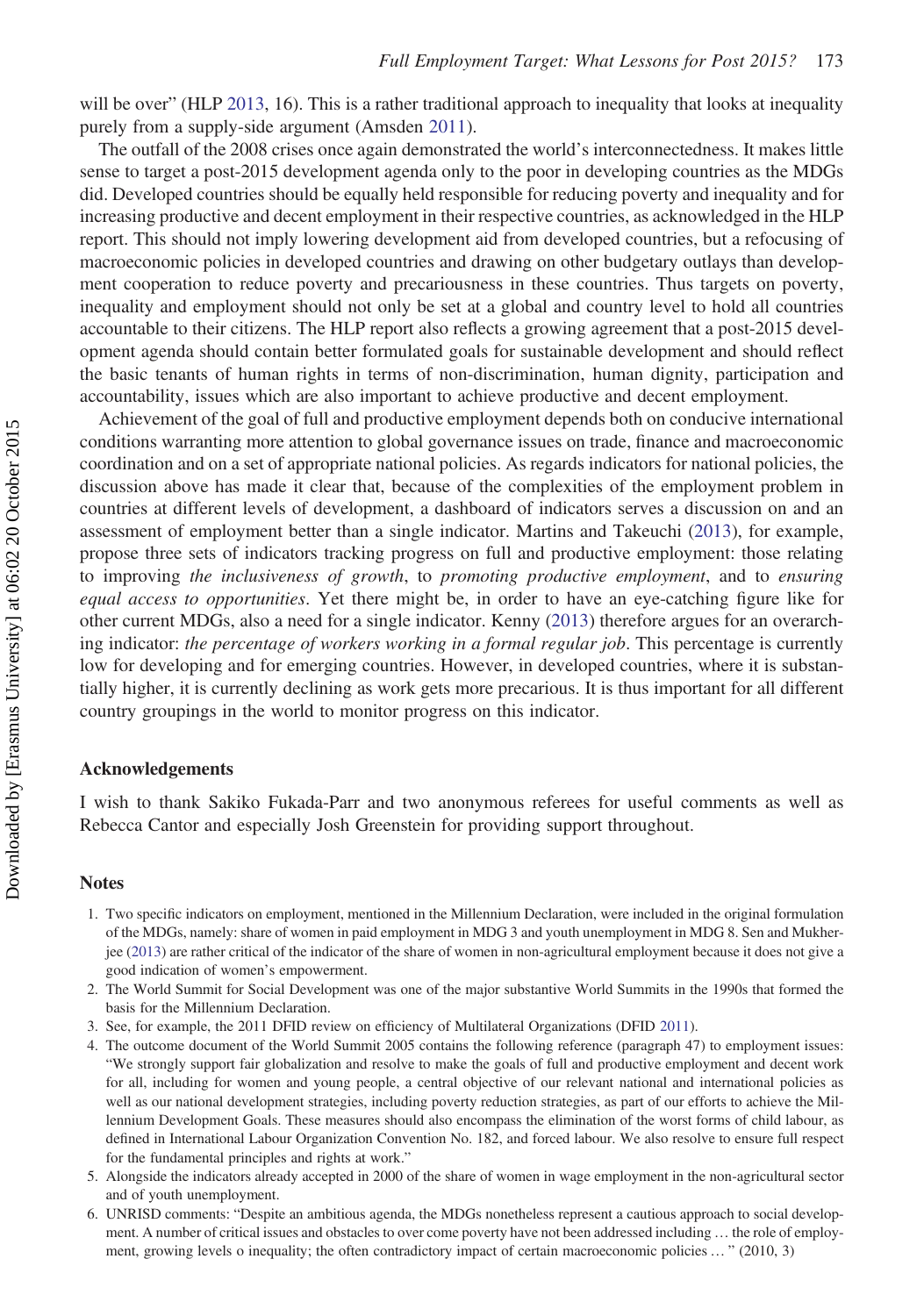<span id="page-13-0"></span>will be over" (HLP [2013](#page-14-0), 16). This is a rather traditional approach to inequality that looks at inequality purely from a supply-side argument (Amsden [2011](#page-14-0)).

The outfall of the 2008 crises once again demonstrated the world's interconnectedness. It makes little sense to target a post-2015 development agenda only to the poor in developing countries as the MDGs did. Developed countries should be equally held responsible for reducing poverty and inequality and for increasing productive and decent employment in their respective countries, as acknowledged in the HLP report. This should not imply lowering development aid from developed countries, but a refocusing of macroeconomic policies in developed countries and drawing on other budgetary outlays than development cooperation to reduce poverty and precariousness in these countries. Thus targets on poverty, inequality and employment should not only be set at a global and country level to hold all countries accountable to their citizens. The HLP report also reflects a growing agreement that a post-2015 development agenda should contain better formulated goals for sustainable development and should reflect the basic tenants of human rights in terms of non-discrimination, human dignity, participation and accountability, issues which are also important to achieve productive and decent employment.

Achievement of the goal of full and productive employment depends both on conducive international conditions warranting more attention to global governance issues on trade, finance and macroeconomic coordination and on a set of appropriate national policies. As regards indicators for national policies, the discussion above has made it clear that, because of the complexities of the employment problem in countries at different levels of development, a dashboard of indicators serves a discussion on and an assessment of employment better than a single indicator. Martins and Takeuchi ([2013\)](#page-15-0), for example, propose three sets of indicators tracking progress on full and productive employment: those relating to improving the inclusiveness of growth, to promoting productive employment, and to ensuring equal access to opportunities. Yet there might be, in order to have an eye-catching figure like for other current MDGs, also a need for a single indicator. Kenny ([2013\)](#page-14-0) therefore argues for an overarching indicator: the percentage of workers working in a formal regular job. This percentage is currently low for developing and for emerging countries. However, in developed countries, where it is substantially higher, it is currently declining as work gets more precarious. It is thus important for all different country groupings in the world to monitor progress on this indicator.

#### Acknowledgements

I wish to thank Sakiko Fukada-Parr and two anonymous referees for useful comments as well as Rebecca Cantor and especially Josh Greenstein for providing support throughout.

#### **Notes**

- 1. Two specific indicators on employment, mentioned in the Millennium Declaration, were included in the original formulation of the MDGs, namely: share of women in paid employment in MDG 3 and youth unemployment in MDG 8. Sen and Mukherjee [\(2013](#page-15-0)) are rather critical of the indicator of the share of women in non-agricultural employment because it does not give a good indication of women's empowerment.
- 2. The World Summit for Social Development was one of the major substantive World Summits in the 1990s that formed the basis for the Millennium Declaration.
- 3. See, for example, the 2011 DFID review on efficiency of Multilateral Organizations (DFID [2011](#page-14-0)).
- 4. The outcome document of the World Summit 2005 contains the following reference (paragraph 47) to employment issues: "We strongly support fair globalization and resolve to make the goals of full and productive employment and decent work for all, including for women and young people, a central objective of our relevant national and international policies as well as our national development strategies, including poverty reduction strategies, as part of our efforts to achieve the Millennium Development Goals. These measures should also encompass the elimination of the worst forms of child labour, as defined in International Labour Organization Convention No. 182, and forced labour. We also resolve to ensure full respect for the fundamental principles and rights at work."
- 5. Alongside the indicators already accepted in 2000 of the share of women in wage employment in the non-agricultural sector and of youth unemployment.
- 6. UNRISD comments: "Despite an ambitious agenda, the MDGs nonetheless represent a cautious approach to social development. A number of critical issues and obstacles to over come poverty have not been addressed including … the role of employment, growing levels o inequality; the often contradictory impact of certain macroeconomic policies ... " (2010, 3)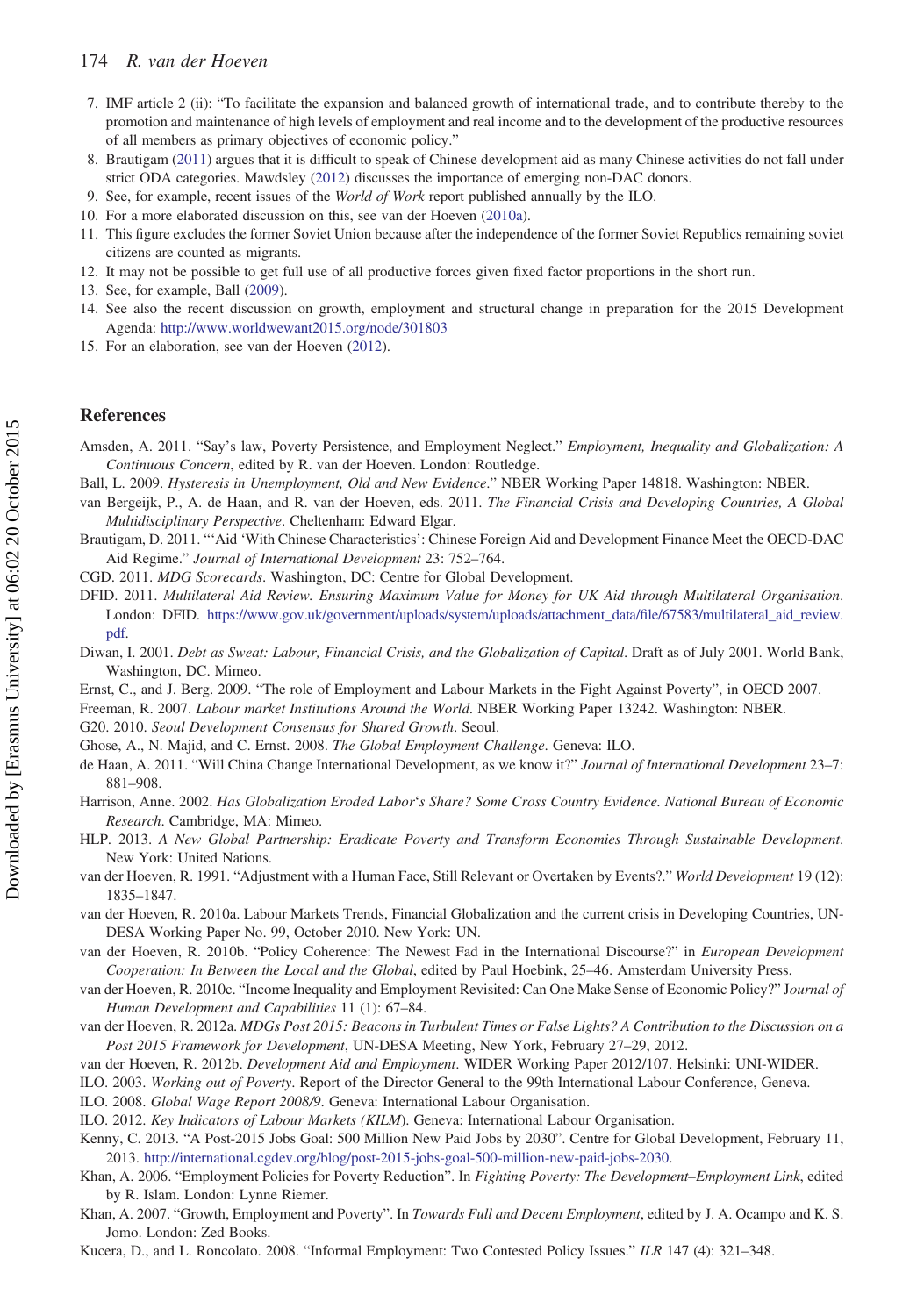- <span id="page-14-0"></span>7. IMF article 2 (ii): "To facilitate the expansion and balanced growth of international trade, and to contribute thereby to the promotion and maintenance of high levels of employment and real income and to the development of the productive resources of all members as primary objectives of economic policy."
- 8. Brautigam (2011) argues that it is difficult to speak of Chinese development aid as many Chinese activities do not fall under strict ODA categories. Mawdsley [\(2012](#page-15-0)) discusses the importance of emerging non-DAC donors.
- 9. See, for example, recent issues of the World of Work report published annually by the ILO.
- 10. For a more elaborated discussion on this, see van der Hoeven (2010a).
- 11. This figure excludes the former Soviet Union because after the independence of the former Soviet Republics remaining soviet citizens are counted as migrants.
- 12. It may not be possible to get full use of all productive forces given fixed factor proportions in the short run.
- 13. See, for example, Ball (2009).
- 14. See also the recent discussion on growth, employment and structural change in preparation for the 2015 Development Agenda: <http://www.worldwewant2015.org/node/301803>
- 15. For an elaboration, see van der Hoeven (2012).

## **References**

- Amsden, A. 2011. "Say's law, Poverty Persistence, and Employment Neglect." Employment, Inequality and Globalization: A Continuous Concern, edited by R. van der Hoeven. London: Routledge.
- Ball, L. 2009. Hysteresis in Unemployment, Old and New Evidence." NBER Working Paper 14818. Washington: NBER.
- van Bergeijk, P., A. de Haan, and R. van der Hoeven, eds. 2011. The Financial Crisis and Developing Countries, A Global Multidisciplinary Perspective. Cheltenham: Edward Elgar.
- Brautigam, D. 2011. "'Aid 'With Chinese Characteristics': Chinese Foreign Aid and Development Finance Meet the OECD-DAC Aid Regime." Journal of International Development 23: 752–764.
- CGD. 2011. MDG Scorecards. Washington, DC: Centre for Global Development.
- DFID. 2011. Multilateral Aid Review. Ensuring Maximum Value for Money for UK Aid through Multilateral Organisation. London: DFID. [https://www.gov.uk/government/uploads/system/uploads/attachment\\_data/](https://www.gov.uk/government/uploads/system/uploads/attachment_data/file/67583/multilateral_aid_review.pdf)file/67583/multilateral\_aid\_review. [pdf.](https://www.gov.uk/government/uploads/system/uploads/attachment_data/file/67583/multilateral_aid_review.pdf)
- Diwan, I. 2001. Debt as Sweat: Labour, Financial Crisis, and the Globalization of Capital. Draft as of July 2001. World Bank, Washington, DC. Mimeo.
- Ernst, C., and J. Berg. 2009. "The role of Employment and Labour Markets in the Fight Against Poverty", in OECD 2007.
- Freeman, R. 2007. Labour market Institutions Around the World. NBER Working Paper 13242. Washington: NBER.
- G20. 2010. Seoul Development Consensus for Shared Growth. Seoul.
- Ghose, A., N. Majid, and C. Ernst. 2008. The Global Employment Challenge. Geneva: ILO.
- de Haan, A. 2011. "Will China Change International Development, as we know it?" Journal of International Development 23–7: 881–908.
- Harrison, Anne. 2002. Has Globalization Eroded Labor's Share? Some Cross Country Evidence. National Bureau of Economic Research. Cambridge, MA: Mimeo.
- HLP. 2013. A New Global Partnership: Eradicate Poverty and Transform Economies Through Sustainable Development. New York: United Nations.
- van der Hoeven, R. 1991. "Adjustment with a Human Face, Still Relevant or Overtaken by Events?." World Development 19 (12): 1835–1847.
- van der Hoeven, R. 2010a. Labour Markets Trends, Financial Globalization and the current crisis in Developing Countries, UN-DESA Working Paper No. 99, October 2010. New York: UN.
- van der Hoeven, R. 2010b. "Policy Coherence: The Newest Fad in the International Discourse?" in European Development Cooperation: In Between the Local and the Global, edited by Paul Hoebink, 25–46. Amsterdam University Press.
- van der Hoeven, R. 2010c. "Income Inequality and Employment Revisited: Can One Make Sense of Economic Policy?" Journal of Human Development and Capabilities 11 (1): 67–84.
- van der Hoeven, R. 2012a. MDGs Post 2015: Beacons in Turbulent Times or False Lights? A Contribution to the Discussion on a Post 2015 Framework for Development, UN-DESA Meeting, New York, February 27–29, 2012.
- van der Hoeven, R. 2012b. Development Aid and Employment. WIDER Working Paper 2012/107. Helsinki: UNI-WIDER.
- ILO. 2003. Working out of Poverty. Report of the Director General to the 99th International Labour Conference, Geneva.
- ILO. 2008. Global Wage Report 2008/9. Geneva: International Labour Organisation.
- ILO. 2012. Key Indicators of Labour Markets (KILM). Geneva: International Labour Organisation.
- Kenny, C. 2013. "A Post-2015 Jobs Goal: 500 Million New Paid Jobs by 2030". Centre for Global Development, February 11, 2013. <http://international.cgdev.org/blog/post-2015-jobs-goal-500-million-new-paid-jobs-2030>.
- Khan, A. 2006. "Employment Policies for Poverty Reduction". In Fighting Poverty: The Development–Employment Link, edited by R. Islam. London: Lynne Riemer.
- Khan, A. 2007. "Growth, Employment and Poverty". In Towards Full and Decent Employment, edited by J. A. Ocampo and K. S. Jomo. London: Zed Books.
- Kucera, D., and L. Roncolato. 2008. "Informal Employment: Two Contested Policy Issues." ILR 147 (4): 321–348.